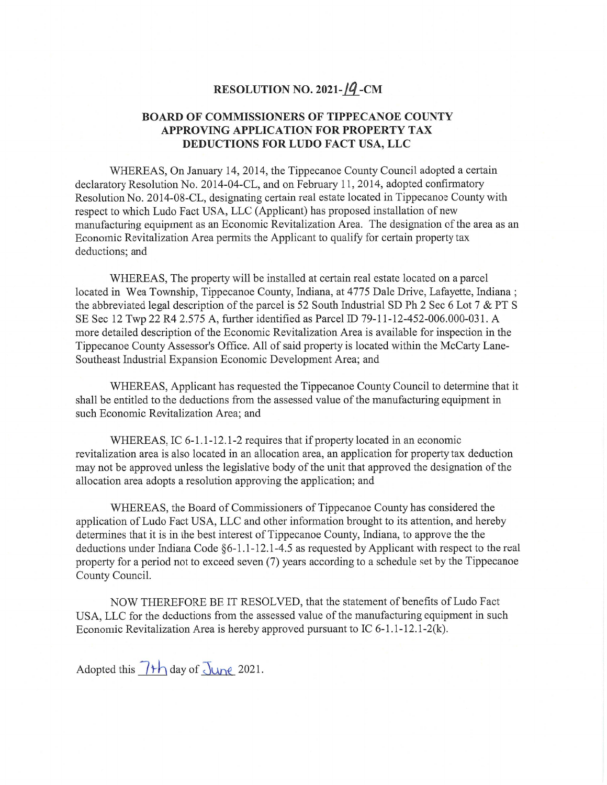## **RESOLUTION NO. 2021-14-CM**

## **BOARD OF COMMISSIONERS OF TIPPECANOE COUNTY APPROVING APPLICATION** FOR **PROPERTY** TAX **DEDUCTIONS** FOR **LUDO FACT USA,** LLC

WHEREAS, On January 14, 2014, the Tippecanoe County Council adopted a certain declaratory Resolution No. 2014—04—CL, and on February 11, 2014, adopted confirmatory Resolution No. 2014-08-CL, designating certain real estate located in Tippecanoe County with respect to which Ludo Fact **USA,** LLC (Applicant) has proposed installation of new manufacturing equipment as an Economic Revitalization **Area.** The designation of the area as an Economic Revitalization Area permits the Applicant to qualify for certain property tax deductions; and

WHEREAS, The property will be installed at certain real estate located on a parcel located in Wea Township, Tippecanoe County, Indiana, at 4775 Dale **Drive,** Lafayette, Indiana ; the abbreviated legal description of the parcel is 52 South Industrial SD Ph 2 Sec 6 Lot **7** & PT **S**  SE Sec 12 Twp 22 R4 2.575 A, fllrther identified as Parcel ID 79-11-12-452-006.000-O31. **A**  more detailed description of the Economic Revitalization Area is available for inspection in the Tippecanoe County Assessor's Office. All of said property is located Within the McCarty Lane-Southeast Industrial Expansion Economic Development Area; and

WHEREAS, Applicant has requested the Tippecanoe County Council to determine that it shall be entitled to the deductions from the assessed value of the manufacturing equipment in **such** Economic Revitalization Area; and

WHEREAS, IC 6-1.1-12.1-2 requires that if property located in an economic revitalization area is also located in an allocation area, an application for property tax deduction may not be approved unless the legislative body of the unit that approved the designation of the allocation area adopts a resolution approving the application; and

WHEREAS, the Board of Commissioners of Tippecanoe County has considered the application of Ludo Fact **USA,** LLC and other information brought to its attention, and hereby determines that it is in the best interest of Tippecanoe County, Indiana, to approve the the deductions under Indiana Code §6-1.1-12.1-4.5 as requested by Applicant with respect to the real property for a period not to exceed seven (7) years according to a schedule set by the Tippecanoe County Council.

NOW THEREFORE BE IT RESOLVED, that the statement of benefits of Ludo Fact **USA,** LLC for the deductions from the assessed value of the manufacturing equipment in **such**  Economic Revitalization Area is hereby approved pursuant to IC 6-1.1—12.1-2(k).

Adopted this  $\frac{\partial \mathcal{L}}{\partial x}$  day of  $\frac{\partial \mathcal{L}}{\partial y}$  2021.